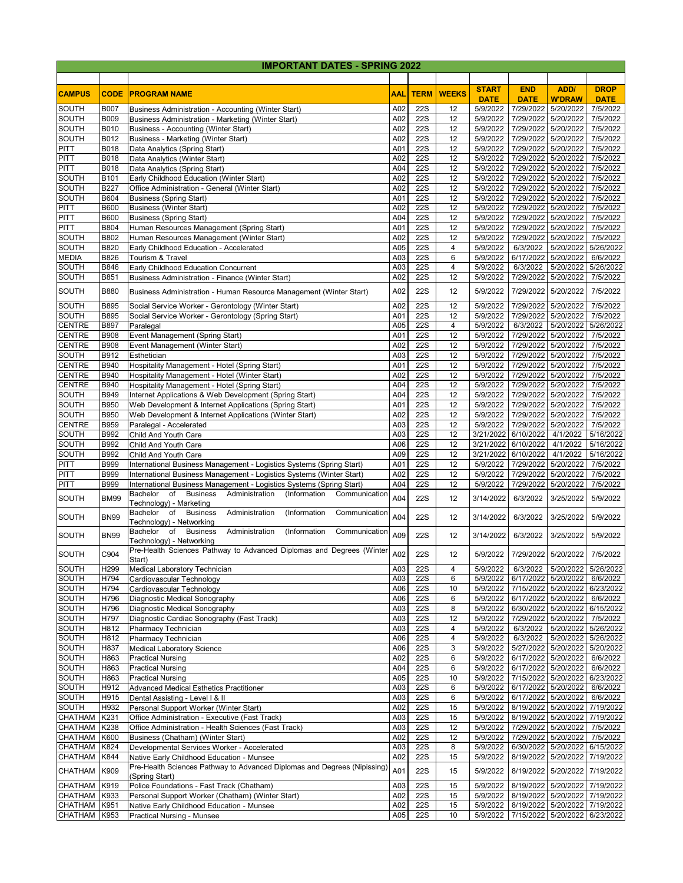| <b>IMPORTANT DATES - SPRING 2022</b> |                            |                                                                                                           |            |                          |              |                       |                              |                                            |                       |  |  |
|--------------------------------------|----------------------------|-----------------------------------------------------------------------------------------------------------|------------|--------------------------|--------------|-----------------------|------------------------------|--------------------------------------------|-----------------------|--|--|
|                                      |                            |                                                                                                           |            |                          |              |                       |                              |                                            |                       |  |  |
| <b>CAMPUS</b>                        | <b>CODE</b>                | <b>PROGRAM NAME</b>                                                                                       | <b>AAL</b> | <b>TERM</b>              | <b>WEEKS</b> | <b>START</b>          | <b>END</b>                   | <b>ADD/</b>                                | <b>DROP</b>           |  |  |
|                                      |                            |                                                                                                           |            |                          |              | <b>DATE</b>           | <b>DATE</b>                  | <b>W'DRAW</b>                              | <b>DATE</b>           |  |  |
| <b>SOUTH</b><br><b>SOUTH</b>         | <b>B007</b><br><b>B009</b> | Business Administration - Accounting (Winter Start)<br>Business Administration - Marketing (Winter Start) | A02<br>A02 | <b>22S</b><br><b>22S</b> | 12<br>12     | 5/9/2022<br>5/9/2022  | 7/29/2022<br>7/29/2022       | 5/20/2022<br>5/20/2022                     | 7/5/2022<br>7/5/2022  |  |  |
| SOUTH                                | B010                       | Business - Accounting (Winter Start)                                                                      | A02        | $\overline{22S}$         | 12           | 5/9/2022              | 7/29/2022                    | 5/20/2022                                  | 7/5/2022              |  |  |
| SOUTH                                | B012                       | Business - Marketing (Winter Start)                                                                       | A02        | <b>22S</b>               | 12           | 5/9/2022              | 7/29/2022                    | 5/20/2022                                  | 7/5/2022              |  |  |
| PITT                                 | B018                       | Data Analytics (Spring Start)                                                                             | A01        | <b>22S</b>               | 12           | 5/9/2022              | 7/29/2022                    | 5/20/2022                                  | 7/5/2022              |  |  |
| PITT                                 | B018                       | Data Analytics (Winter Start)                                                                             | A02        | $\overline{22S}$         | 12           | 5/9/2022              | 7/29/2022                    | 5/20/2022                                  | 7/5/2022              |  |  |
| <b>PITT</b>                          | B018                       | Data Analytics (Spring Start)                                                                             | A04        | $\overline{22S}$         | 12           | 5/9/2022              | 7/29/2022                    | 5/20/2022                                  | 7/5/2022              |  |  |
| SOUTH                                | B101                       | Early Childhood Education (Winter Start)                                                                  | A02        | <b>22S</b>               | 12           | 5/9/2022              | 7/29/2022                    | 5/20/2022                                  | 7/5/2022              |  |  |
| SOUTH                                | B227                       | Office Administration - General (Winter Start)                                                            | A02        | $\overline{22S}$         | 12           | 5/9/2022              | 7/29/2022                    | 5/20/2022                                  | 7/5/2022              |  |  |
| SOUTH<br>PITT                        | B604<br><b>B600</b>        | <b>Business (Spring Start)</b><br><b>Business (Winter Start)</b>                                          | A01<br>A02 | <b>22S</b><br><b>22S</b> | 12<br>12     | 5/9/2022<br>5/9/2022  | 7/29/2022<br>7/29/2022       | 5/20/2022<br>5/20/2022                     | 7/5/2022<br>7/5/2022  |  |  |
| PITT                                 | <b>B600</b>                | <b>Business (Spring Start)</b>                                                                            | A04        | <b>22S</b>               | 12           | 5/9/2022              | 7/29/2022                    | 5/20/2022                                  | 7/5/2022              |  |  |
| PITT                                 | B804                       | Human Resources Management (Spring Start)                                                                 | A01        | $\overline{22S}$         | 12           | 5/9/2022              | 7/29/2022                    | 5/20/2022                                  | 7/5/2022              |  |  |
| <b>SOUTH</b>                         | B802                       | Human Resources Management (Winter Start)                                                                 | A02        | <b>22S</b>               | 12           | 5/9/2022              | 7/29/2022                    | 5/20/2022                                  | 7/5/2022              |  |  |
| <b>SOUTH</b>                         | B820                       | Early Childhood Education - Accelerated                                                                   | A05        | $\overline{22S}$         | 4            | 5/9/2022              | 6/3/2022                     | 5/20/2022                                  | 5/26/2022             |  |  |
| <b>MEDIA</b>                         | B826                       | Tourism & Travel                                                                                          | A03        | $\overline{22S}$         | 6            | 5/9/2022              | 6/17/2022                    | 5/20/2022                                  | 6/6/2022              |  |  |
| <b>SOUTH</b>                         | B846                       | Early Childhood Education Concurrent                                                                      | A03        | <b>22S</b>               | 4            | 5/9/2022              | 6/3/2022                     | 5/20/2022                                  | 5/26/2022             |  |  |
| SOUTH                                | B851                       | Business Administration - Finance (Winter Start)                                                          | A02        | <b>22S</b>               | 12           | 5/9/2022              | 7/29/2022                    | 5/20/2022                                  | 7/5/2022              |  |  |
| <b>SOUTH</b>                         | <b>B880</b>                | Business Administration - Human Resource Management (Winter Start)                                        | A02        | <b>22S</b>               | 12           | 5/9/2022              | 7/29/2022 5/20/2022          |                                            | 7/5/2022              |  |  |
| <b>SOUTH</b>                         | B895                       | Social Service Worker - Gerontology (Winter Start)                                                        | A02        | <b>22S</b>               | 12           | 5/9/2022              | 7/29/2022                    | 5/20/2022                                  | 7/5/2022              |  |  |
| SOUTH                                | B895                       | Social Service Worker - Gerontology (Spring Start)                                                        | A01        | <b>22S</b>               | 12           | 5/9/2022              | 7/29/2022                    | 5/20/2022                                  | 7/5/2022              |  |  |
| <b>CENTRE</b><br><b>CENTRE</b>       | B897<br><b>B908</b>        | Paralegal<br>Event Management (Spring Start)                                                              | A05<br>A01 | <b>22S</b><br><b>22S</b> | 4<br>12      | 5/9/2022<br>5/9/2022  | 6/3/2022<br>7/29/2022        | 5/20/2022<br>5/20/2022                     | 5/26/2022<br>7/5/2022 |  |  |
| <b>CENTRE</b>                        | <b>B908</b>                | Event Management (Winter Start)                                                                           | A02        | <b>22S</b>               | 12           | 5/9/2022              | 7/29/2022                    | 5/20/2022                                  | 7/5/2022              |  |  |
| SOUTH                                | B912                       | Esthetician                                                                                               | A03        | $\overline{22S}$         | 12           | 5/9/2022              | 7/29/2022                    | 5/20/2022                                  | 7/5/2022              |  |  |
| <b>CENTRE</b>                        | B940                       | Hospitality Management - Hotel (Spring Start)                                                             | A01        | $\overline{22S}$         | 12           | 5/9/2022              | 7/29/2022                    | 5/20/2022                                  | 7/5/2022              |  |  |
| <b>CENTRE</b>                        | B940                       | Hospitality Management - Hotel (Winter Start)                                                             | A02        | $\overline{22S}$         | 12           | 5/9/2022              | 7/29/2022                    | 5/20/2022                                  | 7/5/2022              |  |  |
| <b>CENTRE</b>                        | B940                       | Hospitality Management - Hotel (Spring Start)                                                             | A04        | <b>22S</b>               | 12           | 5/9/2022              | 7/29/2022                    | 5/20/2022                                  | 7/5/2022              |  |  |
| SOUTH                                | B949                       | Internet Applications & Web Development (Spring Start)                                                    | A04        | $\overline{22S}$         | 12           | 5/9/2022              | 7/29/2022                    | 5/20/2022                                  | 7/5/2022              |  |  |
| <b>SOUTH</b>                         | B950                       | Web Development & Internet Applications (Spring Start)                                                    | A01        | <b>22S</b>               | 12           | 5/9/2022              | 7/29/2022                    | 5/20/2022                                  | 7/5/2022              |  |  |
| SOUTH                                | <b>B950</b>                | Web Development & Internet Applications (Winter Start)                                                    | A02        | $\overline{22S}$         | 12           | 5/9/2022              | 7/29/2022                    | 5/20/2022                                  | 7/5/2022              |  |  |
| <b>CENTRE</b>                        | B959                       | Paralegal - Accelerated                                                                                   | A03        | $\overline{22S}$         | 12           | 5/9/2022              | 7/29/2022                    | 5/20/2022                                  | 7/5/2022              |  |  |
| SOUTH                                | B992                       | Child And Youth Care                                                                                      | A03        | <b>22S</b>               | 12           | 3/21/2022             | 6/10/2022                    | 4/1/2022                                   | 5/16/2022             |  |  |
| SOUTH                                | <b>B992</b>                | Child And Youth Care                                                                                      | A06        | <b>22S</b><br><b>22S</b> | 12           | 3/21/2022             | 6/10/2022                    | 4/1/2022                                   | 5/16/2022             |  |  |
| SOUTH<br><b>PITT</b>                 | B992<br>B999               | Child And Youth Care<br>International Business Management - Logistics Systems (Spring Start)              | A09<br>A01 | <b>22S</b>               | 12<br>12     | 3/21/2022<br>5/9/2022 | 6/10/2022<br>7/29/2022       | 4/1/2022<br>5/20/2022                      | 5/16/2022<br>7/5/2022 |  |  |
| PITT                                 | B999                       | International Business Management - Logistics Systems (Winter Start)                                      | A02        | <b>22S</b>               | 12           | 5/9/2022              | 7/29/2022                    | 5/20/2022                                  | 7/5/2022              |  |  |
| <b>PITT</b>                          | B999                       | International Business Management - Logistics Systems (Spring Start)                                      | A04        | $\overline{22S}$         | 12           | 5/9/2022              | 7/29/2022                    | 5/20/2022                                  | 7/5/2022              |  |  |
| SOUTH                                | <b>BM99</b>                | Bachelor of Business<br>Administration<br>(Information<br>Communication<br>Technology) - Marketing        | A04        | <b>22S</b>               | 12           | 3/14/2022             | 6/3/2022                     | 3/25/2022                                  | 5/9/2022              |  |  |
| <b>SOUTH</b>                         | <b>BN99</b>                | Bachelor of Business<br>Administration<br>(Information<br>Communication<br>Technology) - Networking       | A04        | <b>22S</b>               | 12           | 3/14/2022             | 6/3/2022                     | 3/25/2022                                  | 5/9/2022              |  |  |
| <b>SOUTH</b>                         | <b>BN99</b>                | (Information<br>Bachelor of<br><b>Business</b><br>Administration<br>Communication                         | A09        | <b>22S</b>               | 12           | 3/14/2022             | 6/3/2022                     | 3/25/2022                                  | 5/9/2022              |  |  |
| <b>SOUTH</b>                         | C904                       | Technology) - Networking<br>Pre-Health Sciences Pathway to Advanced Diplomas and Degrees (Winter          | A02        | <b>22S</b>               | 12           |                       | 5/9/2022 7/29/2022 5/20/2022 |                                            | 7/5/2022              |  |  |
| <b>SOUTH</b>                         |                            | Start)                                                                                                    |            |                          | 4            |                       |                              | 6/3/2022 5/20/2022 5/26/2022               |                       |  |  |
| <b>SOUTH</b>                         | H <sub>299</sub><br>H794   | Medical Laboratory Technician<br>Cardiovascular Technology                                                | A03<br>A03 | <b>22S</b><br><b>22S</b> | 6            | 5/9/2022<br>5/9/2022  |                              | 6/17/2022 5/20/2022                        | 6/6/2022              |  |  |
| <b>SOUTH</b>                         | H794                       | Cardiovascular Technology                                                                                 | A06        | <b>22S</b>               | 10           | 5/9/2022              |                              | 7/15/2022 5/20/2022 6/23/2022              |                       |  |  |
| <b>SOUTH</b>                         | H796                       | Diagnostic Medical Sonography                                                                             | A06        | <b>22S</b>               | 6            | 5/9/2022              | 6/17/2022 5/20/2022          |                                            | 6/6/2022              |  |  |
| <b>SOUTH</b>                         | H796                       | Diagnostic Medical Sonography                                                                             | A03        | <b>22S</b>               | 8            | 5/9/2022              |                              | 6/30/2022 5/20/2022                        | 6/15/2022             |  |  |
| <b>SOUTH</b>                         | H797                       | Diagnostic Cardiac Sonography (Fast Track)                                                                | A03        | <b>22S</b>               | 12           | 5/9/2022              |                              | 7/29/2022 5/20/2022                        | 7/5/2022              |  |  |
| <b>SOUTH</b>                         | H812                       | Pharmacy Technician                                                                                       | A03        | <b>22S</b>               | 4            | 5/9/2022              | 6/3/2022                     | 5/20/2022 5/26/2022                        |                       |  |  |
| <b>SOUTH</b>                         | H812                       | Pharmacy Technician                                                                                       | A06        | <b>22S</b>               | 4            | 5/9/2022              |                              | 6/3/2022 5/20/2022 5/26/2022               |                       |  |  |
| <b>SOUTH</b>                         | H837                       | <b>Medical Laboratory Science</b>                                                                         | A06        | <b>22S</b>               | 3            | 5/9/2022              | 5/27/2022                    | 5/20/2022                                  | 5/20/2022             |  |  |
| <b>SOUTH</b>                         | H863                       | <b>Practical Nursing</b>                                                                                  | A02        | <b>22S</b>               | 6            | 5/9/2022              |                              | 6/17/2022 5/20/2022                        | 6/6/2022              |  |  |
| <b>SOUTH</b><br><b>SOUTH</b>         | H863<br>H863               | <b>Practical Nursing</b><br><b>Practical Nursing</b>                                                      | A04<br>A05 | <b>22S</b><br><b>22S</b> | 6<br>10      | 5/9/2022<br>5/9/2022  |                              | 6/17/2022 5/20/2022<br>7/15/2022 5/20/2022 | 6/6/2022<br>6/23/2022 |  |  |
| <b>SOUTH</b>                         | H912                       | <b>Advanced Medical Esthetics Practitioner</b>                                                            | A03        | <b>22S</b>               | 6            | 5/9/2022              | 6/17/2022 5/20/2022          |                                            | 6/6/2022              |  |  |
| <b>SOUTH</b>                         | H915                       | Dental Assisting - Level I & II                                                                           | A03        | <b>22S</b>               | 6            | 5/9/2022              |                              | 6/17/2022 5/20/2022                        | 6/6/2022              |  |  |
| <b>SOUTH</b>                         | H932                       | Personal Support Worker (Winter Start)                                                                    | A02        | <b>22S</b>               | 15           | 5/9/2022              |                              | 8/19/2022 5/20/2022 7/19/2022              |                       |  |  |
| <b>CHATHAM</b>                       | K231                       | Office Administration - Executive (Fast Track)                                                            | A03        | <b>22S</b>               | 15           | 5/9/2022              | 8/19/2022 5/20/2022          |                                            | 7/19/2022             |  |  |
| <b>CHATHAM</b>                       | K238                       | Office Administration - Health Sciences (Fast Track)                                                      | A03        | $\overline{22S}$         | 12           | 5/9/2022              |                              | 7/29/2022 5/20/2022                        | 7/5/2022              |  |  |
| <b>CHATHAM</b>                       | K600                       | Business (Chatham) (Winter Start)                                                                         | A02        | <b>22S</b>               | 12           | 5/9/2022              | 7/29/2022 5/20/2022          |                                            | 7/5/2022              |  |  |
| CHATHAM                              | K824                       | Developmental Services Worker - Accelerated                                                               | A03        | <b>22S</b>               | 8            | 5/9/2022              |                              | 6/30/2022 5/20/2022                        | 6/15/2022             |  |  |
| CHATHAM                              | K844                       | Native Early Childhood Education - Munsee                                                                 | A02        | <b>22S</b>               | 15           | 5/9/2022              | 8/19/2022                    | 5/20/2022                                  | 7/19/2022             |  |  |
| <b>CHATHAM</b>                       | K909                       | Pre-Health Sciences Pathway to Advanced Diplomas and Degrees (Nipissing<br>(Spring Start)                 | A01        | <b>22S</b>               | 15           | 5/9/2022              |                              | 8/19/2022 5/20/2022                        | 7/19/2022             |  |  |
| <b>CHATHAM</b>                       | K919                       | Police Foundations - Fast Track (Chatham)                                                                 | A03        | <b>22S</b>               | 15           | 5/9/2022              |                              | 8/19/2022 5/20/2022                        | 7/19/2022             |  |  |
| <b>CHATHAM</b>                       | K933                       | Personal Support Worker (Chatham) (Winter Start)                                                          | A02        | <b>22S</b>               | 15           | 5/9/2022              |                              | 8/19/2022 5/20/2022 7/19/2022              |                       |  |  |
| <b>CHATHAM</b>                       | K951                       | Native Early Childhood Education - Munsee                                                                 | A02        | <b>22S</b>               | 15           | 5/9/2022              |                              | 8/19/2022 5/20/2022 7/19/2022              |                       |  |  |
| <b>CHATHAM</b>                       | K953                       | <b>Practical Nursing - Munsee</b>                                                                         | A05        | <b>22S</b>               | 10           | 5/9/2022              |                              | 7/15/2022 5/20/2022 6/23/2022              |                       |  |  |